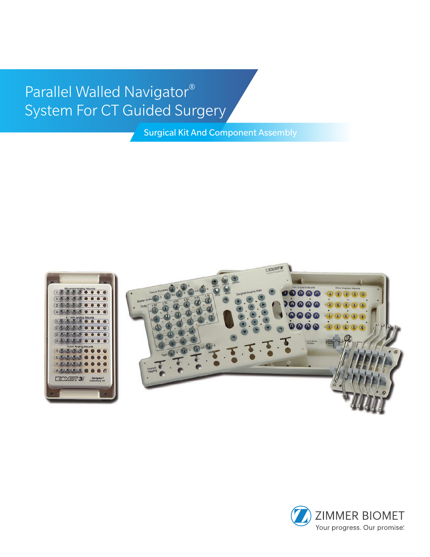# Parallel Walled Navigator® System For CT Guided Surgery

Surgical Kit And Component Assembly



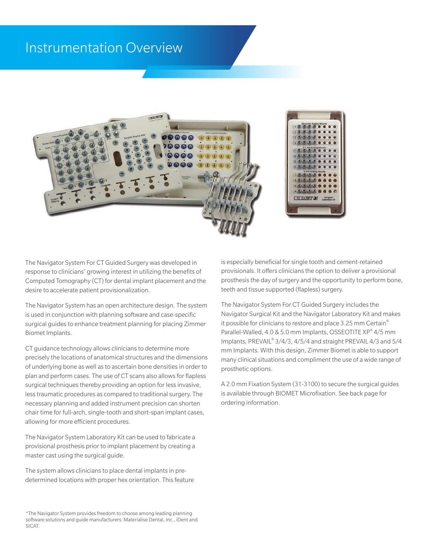#### Instrumentation Overview



The Navigator System For CT Guided Surgery was developed in response to clinicians' growing interest in utilizing the benefits of Computed Tomography (CT) for dental implant placement and the desire to accelerate patient provisionalization.

The Navigator System has an open architecture design. The system is used in conjunction with planning software and case-specific surgical guides to enhance treatment planning for placing Zimmer Biomet Implants.

CT guidance technology allows clinicians to determine more precisely the locations of anatomical structures and the dimensions of underlying bone as well as to ascertain bone densities in order to plan and perform cases. The use of CT scans also allows for flapless surgical techniques thereby providing an option for less invasive, less traumatic procedures as compared to traditional surgery. The necessary planning and added instrument precision can shorten chair time for full-arch, single-tooth and short-span implant cases, allowing for more efficient procedures.

The Navigator System Laboratory Kit can be used to fabricate a provisional prosthesis prior to implant placement by creating a master cast using the surgical guide.

The system allows clinicians to place dental implants in predetermined locations with proper hex orientation. This feature is especially beneficial for single tooth and cement-retained provisionals. It offers clinicians the option to deliver a provisional prosthesis the day of surgery and the opportunity to perform bone, teeth and tissue supported (flapless) surgery.

The Navigator System For CT Guided Surgery includes the Navigator Surgical Kit and the Navigator Laboratory Kit and makes it possible for clinicians to restore and place 3.25 mm Certain® Parallel-Walled, 4.0 & 5.0 mm Implants, OSSEOTITE XP® 4/5 mm Implants, PREVAIL® 3/4/3, 4/5/4 and straight PREVAIL 4/3 and 5/4 mm Implants. With this design, Zimmer Biomet is able to support many clinical situations and compliment the use of a wide range of prosthetic options.

A 2.0 mm Fixation System (31-3100) to secure the surgical guides is available through BIOMET Microfixation. See back page for ordering information.

<sup>\*</sup>The Navigator System provides freedom to choose among leading planning software solutions and guide manufacturers: Materialise Dental, Inc., iDent and SICAT.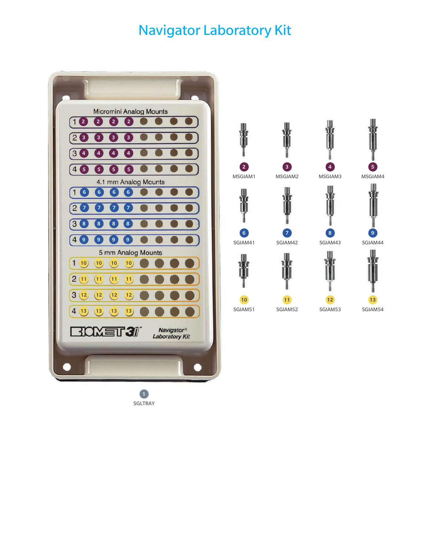### Navigator Laboratory Kit



MSGIAM1 MSGIAM2 









SGIAM42



SGIAM51 

SGIAM41 







SGIAM54

SGLTRAY  $\bullet$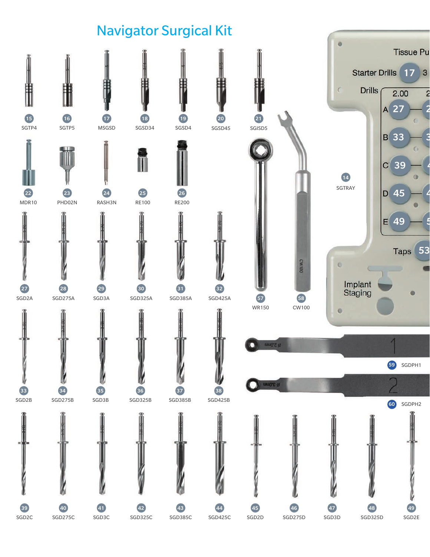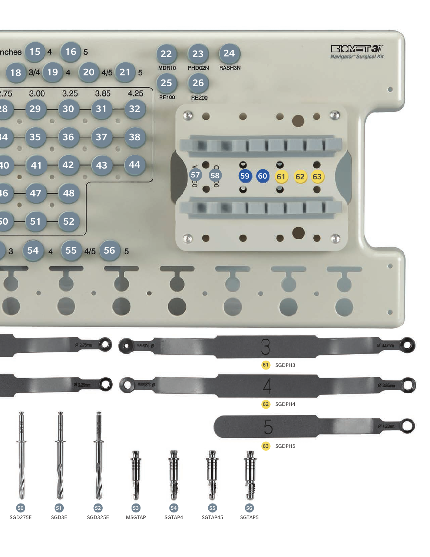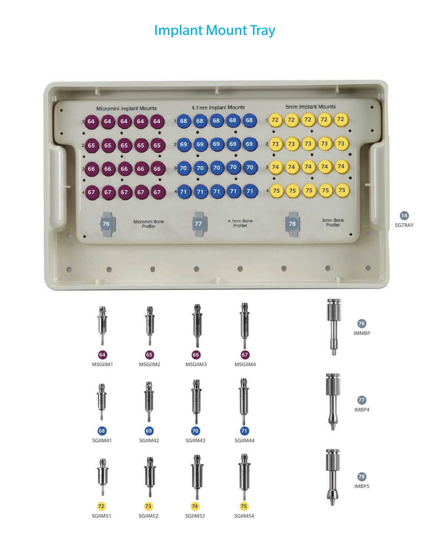## Implant Mount Tray



SGIIM51 

SGIIM52 

SGIIM53 

SGIIM54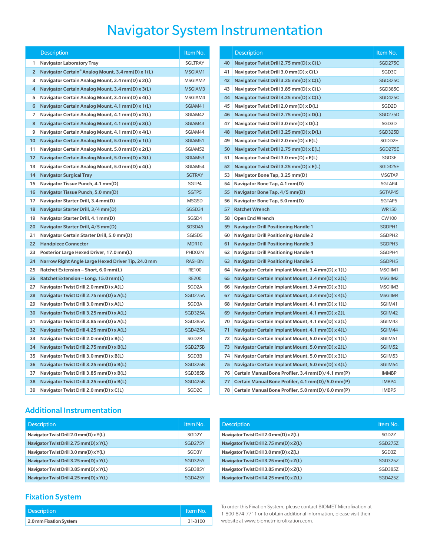## Navigator System Instrumentation

|                   | <b>Description</b>                                 | Item No.           |    | <b>Description</b>                                | Item No.           |
|-------------------|----------------------------------------------------|--------------------|----|---------------------------------------------------|--------------------|
| 1                 | <b>Navigator Laboratory Tray</b>                   | <b>SGLTRAY</b>     | 40 | Navigator Twist Drill 2.75 mm(D) x C(L)           | <b>SGD275C</b>     |
| $\overline{2}$    | Navigator Certain® Analog Mount, 3.4 mm(D) x 1(L)  | MSGIAM1            | 41 | Navigator Twist Drill 3.0 mm(D) x C(L)            | SGD <sub>3</sub> C |
| 3                 | Navigator Certain Analog Mount, 3.4 mm(D) x 2(L)   | MSGIAM2            | 42 | Navigator Twist Drill 3.25 mm(D) x C(L)           | <b>SGD325C</b>     |
| 4                 | Navigator Certain Analog Mount, 3.4 mm(D) x 3(L)   | MSGIAM3            | 43 | Navigator Twist Drill 3.85 mm(D) x C(L)           | <b>SGD385C</b>     |
| 5                 | Navigator Certain Analog Mount, 3.4 mm(D) x 4(L)   | MSGIAM4            | 44 | Navigator Twist Drill 4.25 mm(D) x C(L)           | <b>SGD425C</b>     |
| 6                 | Navigator Certain Analog Mount, 4.1 mm(D) x 1(L)   | SGIAM41            | 45 | Navigator Twist Drill 2.0 mm(D) x D(L)            | SGD <sub>2D</sub>  |
| 7                 | Navigator Certain Analog Mount, 4.1 mm(D) x 2(L)   | SGIAM42            | 46 | Navigator Twist Drill 2.75 mm(D) x D(L)           | <b>SGD275D</b>     |
| 8                 | Navigator Certain Analog Mount, 4.1 mm(D) x 3(L)   | SGIAM43            | 47 | Navigator Twist Drill 3.0 mm(D) x D(L)            | SGD3D              |
| 9                 | Navigator Certain Analog Mount, 4.1 mm(D) x 4(L)   | SGIAM44            | 48 | Navigator Twist Drill 3.25 mm(D) x D(L)           | <b>SGD325D</b>     |
| 10                | Navigator Certain Analog Mount, 5.0 mm(D) x 1(L)   | SGIAM51            | 49 | Navigator Twist Drill 2.0 mm(D) x E(L)            | SGDD2E             |
| 11                | Navigator Certain Analog Mount, 5.0 mm(D) x 2(L)   | SGIAM52            | 50 | Navigator Twist Drill 2.75 mm(D) x E(L)           | SGD275E            |
| $12 \overline{ }$ | Navigator Certain Analog Mount, 5.0 mm(D) x 3(L)   | SGIAM53            | 51 | Navigator Twist Drill 3.0 mm(D) x E(L)            | SGD3E              |
| 13                | Navigator Certain Analog Mount, 5.0 mm(D) x 4(L)   | SGIAM54            | 52 | Navigator Twist Drill 3.25 mm(D) x E(L)           | SGD325E            |
| 14                | <b>Navigator Surgical Tray</b>                     | <b>SGTRAY</b>      | 53 | Navigator Bone Tap, 3.25 mm(D)                    | <b>MSGTAP</b>      |
| 15                | Navigator Tissue Punch, 4.1 mm(D)                  | SGTP4              | 54 | Navigator Bone Tap, 4.1 mm(D)                     | SGTAP4             |
| 16                | Navigator Tissue Punch, 5.0 mm(D)                  | SGTP5              | 55 | Navigator Bone Tap, 4/5 mm(D)                     | SGTAP45            |
| 17                | Navigator Starter Drill, 3.4 mm(D)                 | <b>MSGSD</b>       | 56 | Navigator Bone Tap, 5.0 mm(D)                     | SGTAP5             |
| 18                | Navigator Starter Drill, 3/4 mm(D)                 | SGSD34             | 57 | <b>Ratchet Wrench</b>                             | <b>WR150</b>       |
| 19                | Navigator Starter Drill, 4.1 mm(D)                 | SGSD4              | 58 | <b>Open End Wrench</b>                            | <b>CW100</b>       |
| 20                | Navigator Starter Drill, 4/5 mm(D)                 | SGSD45             | 59 | <b>Navigator Drill Positioning Handle 1</b>       | SGDPH1             |
| 21                | Navigator Certain Starter Drill, 5.0 mm(D)         | SGISD5             | 60 | <b>Navigator Drill Positioning Handle 2</b>       | SGDPH2             |
| 22                | <b>Handpiece Connector</b>                         | MDR10              | 61 | <b>Navigator Drill Positioning Handle 3</b>       | SGDPH3             |
| 23                | Posterior Large Hexed Driver, 17.0 mm(L)           | PHD02N             | 62 | <b>Navigator Drill Positioning Handle 4</b>       | SGDPH4             |
| 24                | Narrow Right Angle Large Hexed Driver Tip, 24.0 mm | RASH3N             | 63 | <b>Navigator Drill Positioning Handle 5</b>       | SGDPH5             |
| 25                | Ratchet Extension - Short, 6.0 mm(L)               | <b>RE100</b>       | 64 | Navigator Certain Implant Mount, 3.4 mm(D) x 1(L) | MSGIIM1            |
| 26                | Ratchet Extension – Long, 15.0 mm(L)               | <b>RE200</b>       | 65 | Navigator Certain Implant Mount, 3.4 mm(D) x 2(L) | MSGIIM2            |
| 27                | Navigator Twist Drill 2.0 mm(D) x A(L)             | SGD <sub>2</sub> A | 66 | Navigator Certain Implant Mount, 3.4 mm(D) x 3(L) | MSGIIM3            |
| 28                | Navigator Twist Drill 2.75 mm(D) x A(L)            | <b>SGD275A</b>     | 67 | Navigator Certain Implant Mount, 3.4 mm(D) x 4(L) | MSGIIM4            |
| 29                | Navigator Twist Drill 3.0 mm(D) x A(L)             | SGD3A              | 68 | Navigator Certain Implant Mount, 4.1 mm(D) x 1(L) | SGIIM41            |
| 30                | Navigator Twist Drill 3.25 mm(D) x A(L)            | <b>SGD325A</b>     | 69 | Navigator Certain Implant Mount, 4.1 mm(D) x 2(L) | SGIIM42            |
| 31                | Navigator Twist Drill 3.85 mm(D) x A(L)            | SGD385A            | 70 | Navigator Certain Implant Mount, 4.1 mm(D) x 3(L) | SGIIM43            |
| 32                | Navigator Twist Drill 4.25 mm(D) x A(L)            | <b>SGD425A</b>     | 71 | Navigator Certain Implant Mount, 4.1 mm(D) x 4(L) | SGIIM44            |
| 33                | Navigator Twist Drill 2.0 mm(D) x B(L)             | SGD <sub>2B</sub>  | 72 | Navigator Certain Implant Mount, 5.0 mm(D) x 1(L) | SGIIM51            |
| 34                | Navigator Twist Drill 2.75 mm(D) x B(L)            | <b>SGD275B</b>     | 73 | Navigator Certain Implant Mount, 5.0 mm(D) x 2(L) | SGIIM52            |
| 35                | Navigator Twist Drill 3.0 mm(D) x B(L)             | SGD3B              | 74 | Navigator Certain Implant Mount, 5.0 mm(D) x 3(L) | SGIIM53            |
| 36                | Navigator Twist Drill 3.25 mm(D) x B(L)            | <b>SGD325B</b>     | 75 | Navigator Certain Implant Mount, 5.0 mm(D) x 4(L) | SGIIM54            |
| 37                | Navigator Twist Drill 3.85 mm(D) x B(L)            | SGD385B            | 76 | Certain Manual Bone Profiler, 3.4 mm(D)/4.1 mm(P) | <b>IMMBP</b>       |
| 38                | Navigator Twist Drill 4.25 mm(D) x B(L)            | <b>SGD425B</b>     | 77 | Certain Manual Bone Profiler, 4.1 mm(D)/5.0 mm(P) | IMBP4              |
| 39                | Navigator Twist Drill 2.0 mm(D) x C(L)             | SGD <sub>2C</sub>  | 78 | Certain Manual Bone Profiler, 5.0 mm(D)/6.0 mm(P) | IMBP5              |
|                   |                                                    |                    |    |                                                   |                    |

| <b>Additional Instrumentation</b> |
|-----------------------------------|
|-----------------------------------|

| <b>Description</b>                      | Item No.          |
|-----------------------------------------|-------------------|
| Navigator Twist Drill 2.0 mm(D) x Y(L)  | SGD <sub>2Y</sub> |
| Navigator Twist Drill 2.75 mm(D) x Y(L) | SGD275Y           |
| Navigator Twist Drill 3.0 mm(D) x Y(L)  | SGD3Y             |
| Navigator Twist Drill 3.25 mm(D) x Y(L) | SGD325Y           |
| Navigator Twist Drill 3.85 mm(D) x Y(L) | SGD385Y           |
| Navigator Twist Drill 4.25 mm(D) x Y(L) | SGD425Y           |

#### Fixation System

| <b>Description</b>     | LItem No. |
|------------------------|-----------|
| 2.0 mm Fixation System | 31-3100   |

| Description                                        | Item No.           |    | <b>Description</b>                                                 | Item No.           |
|----------------------------------------------------|--------------------|----|--------------------------------------------------------------------|--------------------|
| Navigator Laboratory Tray                          | <b>SGLTRAY</b>     | 40 | Navigator Twist Drill 2.75 mm(D) x C(L)                            | <b>SGD275C</b>     |
| Navigator Certain® Analog Mount, 3.4 mm(D) x 1(L)  | MSGIAM1            | 41 | Navigator Twist Drill 3.0 mm(D) x C(L)                             | SGD3C              |
| Navigator Certain Analog Mount, 3.4 mm(D) x 2(L)   | MSGIAM2            | 42 | Navigator Twist Drill 3.25 mm(D) x C(L)                            | <b>SGD325C</b>     |
| Navigator Certain Analog Mount, 3.4 mm(D) x 3(L)   | MSGIAM3            | 43 | Navigator Twist Drill 3.85 mm(D) x C(L)                            | SGD385C            |
| Navigator Certain Analog Mount, 3.4 mm(D) x 4(L)   | MSGIAM4            | 44 | Navigator Twist Drill 4.25 mm(D) x C(L)                            | <b>SGD425C</b>     |
| Navigator Certain Analog Mount, 4.1 mm(D) x 1(L)   | SGIAM41            | 45 | Navigator Twist Drill 2.0 mm(D) x D(L)                             | SGD2D              |
| Navigator Certain Analog Mount, 4.1 mm(D) x 2(L)   | SGIAM42            | 46 | Navigator Twist Drill 2.75 mm(D) x D(L)                            | <b>SGD275D</b>     |
| Navigator Certain Analog Mount, 4.1 mm(D) x 3(L)   | SGIAM43            | 47 | Navigator Twist Drill 3.0 mm(D) x D(L)                             | SGD <sub>3</sub> D |
| Navigator Certain Analog Mount, 4.1 mm(D) x 4(L)   | SGIAM44            | 48 | Navigator Twist Drill 3.25 mm(D) x D(L)                            | <b>SGD325D</b>     |
| Navigator Certain Analog Mount, 5.0 mm(D) x 1(L)   | SGIAM51            | 49 | Navigator Twist Drill 2.0 mm(D) x E(L)                             | SGDD2E             |
| Navigator Certain Analog Mount, 5.0 mm(D) x 2(L)   | SGIAM52            | 50 | Navigator Twist Drill 2.75 mm(D) x E(L)                            | <b>SGD275E</b>     |
| Navigator Certain Analog Mount, 5.0 mm(D) x 3(L)   | SGIAM53            | 51 | Navigator Twist Drill 3.0 mm(D) x E(L)                             | SGD3E              |
| Navigator Certain Analog Mount, 5.0 mm(D) x 4(L)   | SGIAM54            | 52 | Navigator Twist Drill 3.25 mm(D) x E(L)                            | <b>SGD325E</b>     |
| <b>Navigator Surgical Tray</b>                     | <b>SGTRAY</b>      | 53 | Navigator Bone Tap, 3.25 mm(D)                                     | <b>MSGTAP</b>      |
| Navigator Tissue Punch, 4.1 mm(D)                  | SGTP4              | 54 | Navigator Bone Tap, 4.1 mm(D)                                      | SGTAP4             |
| Navigator Tissue Punch, 5.0 mm(D)                  | SGTP5              | 55 | Navigator Bone Tap, 4/5 mm(D)                                      | SGTAP45            |
| Navigator Starter Drill, 3.4 mm(D)                 | <b>MSGSD</b>       | 56 | Navigator Bone Tap, 5.0 mm(D)                                      | SGTAP5             |
| Navigator Starter Drill, 3/4 mm(D)                 | SGSD34             | 57 | <b>Ratchet Wrench</b>                                              | <b>WR150</b>       |
| Navigator Starter Drill, 4.1 mm(D)                 | SGSD4              | 58 | <b>Open End Wrench</b>                                             | <b>CW100</b>       |
| Navigator Starter Drill, 4/5 mm(D)                 | SGSD45             | 59 | <b>Navigator Drill Positioning Handle 1</b>                        | SGDPH1             |
| Navigator Certain Starter Drill, 5.0 mm(D)         | SGISD5             | 60 | <b>Navigator Drill Positioning Handle 2</b>                        | SGDPH2             |
| <b>Handpiece Connector</b>                         | MDR10              | 61 | <b>Navigator Drill Positioning Handle 3</b>                        | SGDPH3             |
| Posterior Large Hexed Driver, 17.0 mm(L)           | PHD02N             | 62 | <b>Navigator Drill Positioning Handle 4</b>                        | SGDPH4             |
| Narrow Right Angle Large Hexed Driver Tip, 24.0 mm | RASH3N             | 63 | <b>Navigator Drill Positioning Handle 5</b>                        | SGDPH5             |
| Ratchet Extension – Short, 6.0 mm(L)               | <b>RE100</b>       | 64 | Navigator Certain Implant Mount, 3.4 mm(D) x 1(L)                  | MSGIIM1            |
| Ratchet Extension - Long, 15.0 mm(L)               | <b>RE200</b>       | 65 | Navigator Certain Implant Mount, 3.4 mm(D) x 2(L)                  | MSGIIM2            |
| Navigator Twist Drill 2.0 mm(D) x A(L)             | SGD <sub>2</sub> A | 66 | Navigator Certain Implant Mount, 3.4 mm(D) x 3(L)                  | MSGIIM3            |
| Navigator Twist Drill 2.75 mm(D) x A(L)            | <b>SGD275A</b>     | 67 | Navigator Certain Implant Mount, 3.4 mm(D) x 4(L)                  | MSGIIM4            |
| Navigator Twist Drill 3.0 mm(D) x A(L)             | SGD3A              | 68 | Navigator Certain Implant Mount, 4.1 mm(D) x 1(L)                  | SGIIM41            |
| Navigator Twist Drill 3.25 mm(D) x A(L)            | <b>SGD325A</b>     | 69 | Navigator Certain Implant Mount, 4.1 mm(D) x 2(L                   | SGIIM42            |
| Navigator Twist Drill 3.85 mm(D) x A(L)            | SGD385A            | 70 | Navigator Certain Implant Mount, 4.1 mm(D) x 3(L)                  | SGIIM43            |
| Navigator Twist Drill 4.25 mm(D) x A(L)            | SGD425A            | 71 | Navigator Certain Implant Mount, 4.1 mm(D) x 4(L)                  | SGIIM44            |
| Navigator Twist Drill 2.0 mm(D) x B(L)             | SGD <sub>2B</sub>  | 72 | Navigator Certain Implant Mount, 5.0 mm(D) x 1(L)                  | SGIIM51            |
| Navigator Twist Drill 2.75 mm(D) x B(L)            | <b>SGD275B</b>     | 73 | Navigator Certain Implant Mount, 5.0 mm(D) x 2(L)                  | SGIIM52            |
| Navigator Twist Drill 3.0 mm(D) x B(L)             | SGD3B              | 74 | Navigator Certain Implant Mount, 5.0 mm(D) x 3(L)                  | SGIIM53            |
| Navigator Twist Drill 3.25 mm(D) x B(L)            | <b>SGD325B</b>     | 75 | Navigator Certain Implant Mount, 5.0 mm(D) x 4(L)                  | SGIIM54            |
| Navigator Twist Drill 3.85 mm(D) x B(L)            | SGD385B            | 76 | Certain Manual Bone Profiler, 3.4 mm(D)/4.1 mm(P)                  | <b>IMMBP</b>       |
| Navigator Twist Drill 4.25 mm(D) x B(L)            | <b>SGD425B</b>     | 77 | Certain Manual Bone Profiler, 4.1 mm(D)/5.0 mm(P)                  | IMBP4              |
| Navigator Twist Drill 2.0 mm(D) x C(L)             | SGD <sub>2C</sub>  | 78 | Certain Manual Bone Profiler $5.0 \text{ mm}(D)/6.0 \text{ mm}(P)$ | IMRP5              |

| <b>Description</b>                      | Item No.          |
|-----------------------------------------|-------------------|
| Navigator Twist Drill 2.0 mm(D) x Z(L)  | SGD <sub>27</sub> |
| Navigator Twist Drill 2.75 mm(D) x Z(L) | <b>SGD275Z</b>    |
| Navigator Twist Drill 3.0 mm(D) x Z(L)  | SGD3Z             |
| Navigator Twist Drill 3.25 mm(D) x Z(L) | <b>SGD325Z</b>    |
| Navigator Twist Drill 3.85 mm(D) x Z(L) | SGD385Z           |
| Navigator Twist Drill 4.25 mm(D) x Z(L) | <b>SGD425Z</b>    |

To order this Fixation System, please contact BIOMET Microfixation at 1-800-874-7711 or to obtain additional information, please visit their website at www.biometmicrofixation.com.